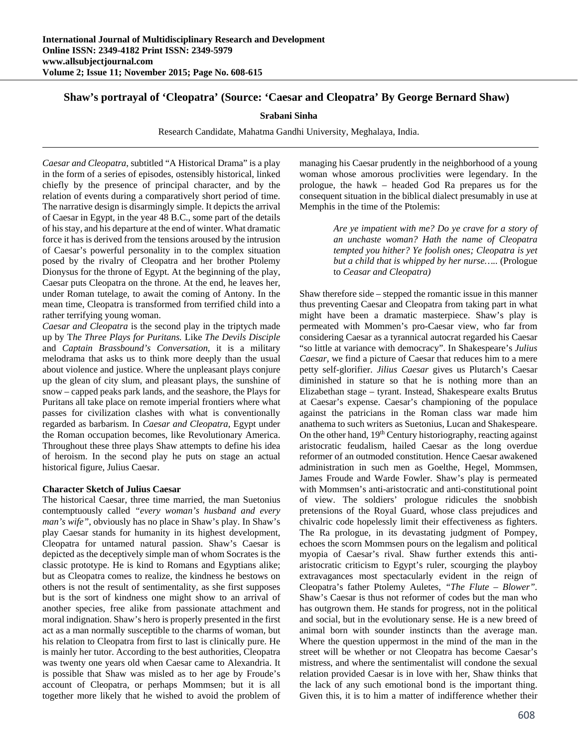# **Shaw's portrayal of 'Cleopatra' (Source: 'Caesar and Cleopatra' By George Bernard Shaw)**

## **Srabani Sinha**

Research Candidate, Mahatma Gandhi University, Meghalaya, India.

*Caesar and Cleopatra*, subtitled "A Historical Drama" is a play in the form of a series of episodes, ostensibly historical, linked chiefly by the presence of principal character, and by the relation of events during a comparatively short period of time. The narrative design is disarmingly simple. It depicts the arrival of Caesar in Egypt, in the year 48 B.C., some part of the details of his stay, and his departure at the end of winter. What dramatic force it has is derived from the tensions aroused by the intrusion of Caesar's powerful personality in to the complex situation posed by the rivalry of Cleopatra and her brother Ptolemy Dionysus for the throne of Egypt. At the beginning of the play, Caesar puts Cleopatra on the throne. At the end, he leaves her, under Roman tutelage, to await the coming of Antony. In the mean time, Cleopatra is transformed from terrified child into a rather terrifying young woman.

*Caesar and Cleopatra* is the second play in the triptych made up by T*he Three Plays for Puritans.* Like *The Devils Disciple* and *Captain Brassbound's Conversation*, it is a military melodrama that asks us to think more deeply than the usual about violence and justice. Where the unpleasant plays conjure up the glean of city slum, and pleasant plays, the sunshine of snow – capped peaks park lands, and the seashore, the Plays for Puritans all take place on remote imperial frontiers where what passes for civilization clashes with what is conventionally regarded as barbarism. In *Caesar and Cleopatra*, Egypt under the Roman occupation becomes, like Revolutionary America. Throughout these three plays Shaw attempts to define his idea of heroism. In the second play he puts on stage an actual historical figure, Julius Caesar.

## **Character Sketch of Julius Caesar**

The historical Caesar, three time married, the man Suetonius contemptuously called *"every woman's husband and every man's wife"*, obviously has no place in Shaw's play. In Shaw's play Caesar stands for humanity in its highest development, Cleopatra for untamed natural passion. Shaw's Caesar is depicted as the deceptively simple man of whom Socrates is the classic prototype. He is kind to Romans and Egyptians alike; but as Cleopatra comes to realize, the kindness he bestows on others is not the result of sentimentality, as she first supposes but is the sort of kindness one might show to an arrival of another species, free alike from passionate attachment and moral indignation. Shaw's hero is properly presented in the first act as a man normally susceptible to the charms of woman, but his relation to Cleopatra from first to last is clinically pure. He is mainly her tutor. According to the best authorities, Cleopatra was twenty one years old when Caesar came to Alexandria. It is possible that Shaw was misled as to her age by Froude's account of Cleopatra, or perhaps Mommsen; but it is all together more likely that he wished to avoid the problem of managing his Caesar prudently in the neighborhood of a young woman whose amorous proclivities were legendary. In the prologue, the hawk – headed God Ra prepares us for the consequent situation in the biblical dialect presumably in use at Memphis in the time of the Ptolemis:

> *Are ye impatient with me? Do ye crave for a story of an unchaste woman? Hath the name of Cleopatra tempted you hither? Ye foolish ones; Cleopatra is yet but a child that is whipped by her nurse…..* (Prologue to *Ceasar and Cleopatra)*

Shaw therefore side – stepped the romantic issue in this manner thus preventing Caesar and Cleopatra from taking part in what might have been a dramatic masterpiece. Shaw's play is permeated with Mommen's pro-Caesar view, who far from considering Caesar as a tyrannical autocrat regarded his Caesar "so little at variance with democracy". In Shakespeare's *Julius Caesar,* we find a picture of Caesar that reduces him to a mere petty self-glorifier. *Jilius Caesar* gives us Plutarch's Caesar diminished in stature so that he is nothing more than an Elizabethan stage – tyrant. Instead, Shakespeare exalts Brutus at Caesar's expense. Caesar's championing of the populace against the patricians in the Roman class war made him anathema to such writers as Suetonius, Lucan and Shakespeare. On the other hand,  $19<sup>th</sup>$  Century historiography, reacting against aristocratic feudalism, hailed Caesar as the long overdue reformer of an outmoded constitution. Hence Caesar awakened administration in such men as Goelthe, Hegel, Mommsen, James Froude and Warde Fowler. Shaw's play is permeated with Mommsen's anti-aristocratic and anti-constitutional point of view. The soldiers' prologue ridicules the snobbish pretensions of the Royal Guard, whose class prejudices and chivalric code hopelessly limit their effectiveness as fighters. The Ra prologue, in its devastating judgment of Pompey, echoes the scorn Mommsen pours on the legalism and political myopia of Caesar's rival. Shaw further extends this antiaristocratic criticism to Egypt's ruler, scourging the playboy extravagances most spectacularly evident in the reign of Cleopatra's father Ptolemy Auletes, *"The Flute – Blower".* Shaw's Caesar is thus not reformer of codes but the man who has outgrown them. He stands for progress, not in the political and social, but in the evolutionary sense. He is a new breed of animal born with sounder instincts than the average man. Where the question uppermost in the mind of the man in the street will be whether or not Cleopatra has become Caesar's mistress, and where the sentimentalist will condone the sexual relation provided Caesar is in love with her, Shaw thinks that the lack of any such emotional bond is the important thing. Given this, it is to him a matter of indifference whether their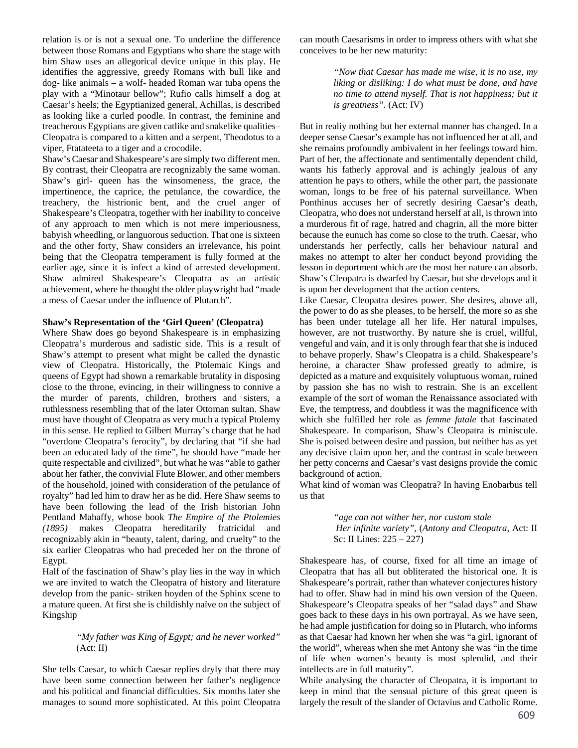relation is or is not a sexual one. To underline the difference between those Romans and Egyptians who share the stage with him Shaw uses an allegorical device unique in this play. He identifies the aggressive, greedy Romans with bull like and dog- like animals – a wolf- headed Roman war tuba opens the play with a "Minotaur bellow"; Rufio calls himself a dog at Caesar's heels; the Egyptianized general, Achillas, is described as looking like a curled poodle. In contrast, the feminine and treacherous Egyptians are given catlike and snakelike qualities– Cleopatra is compared to a kitten and a serpent, Theodotus to a viper, Ftatateeta to a tiger and a crocodile.

Shaw's Caesar and Shakespeare's are simply two different men. By contrast, their Cleopatra are recognizably the same woman. Shaw's girl- queen has the winsomeness, the grace, the impertinence, the caprice, the petulance, the cowardice, the treachery, the histrionic bent, and the cruel anger of Shakespeare's Cleopatra, together with her inability to conceive of any approach to men which is not mere imperiousness, babyish wheedling, or languorous seduction. That one is sixteen and the other forty, Shaw considers an irrelevance, his point being that the Cleopatra temperament is fully formed at the earlier age, since it is infect a kind of arrested development. Shaw admired Shakespeare's Cleopatra as an artistic achievement, where he thought the older playwright had "made a mess of Caesar under the influence of Plutarch".

## **Shaw's Representation of the 'Girl Queen' (Cleopatra)**

Where Shaw does go beyond Shakespeare is in emphasizing Cleopatra's murderous and sadistic side. This is a result of Shaw's attempt to present what might be called the dynastic view of Cleopatra. Historically, the Ptolemaic Kings and queens of Egypt had shown a remarkable brutality in disposing close to the throne, evincing, in their willingness to connive a the murder of parents, children, brothers and sisters, a ruthlessness resembling that of the later Ottoman sultan. Shaw must have thought of Cleopatra as very much a typical Ptolemy in this sense. He replied to Gilbert Murray's charge that he had "overdone Cleopatra's ferocity", by declaring that "if she had been an educated lady of the time", he should have "made her quite respectable and civilized", but what he was "able to gather about her father, the convivial Flute Blower, and other members of the household, joined with consideration of the petulance of royalty" had led him to draw her as he did. Here Shaw seems to have been following the lead of the Irish historian John Pentland Mahaffy, whose book *The Empire of the Ptolemies (1895)* makes Cleopatra hereditarily fratricidal and recognizably akin in "beauty, talent, daring, and cruelty" to the six earlier Cleopatras who had preceded her on the throne of Egypt.

Half of the fascination of Shaw's play lies in the way in which we are invited to watch the Cleopatra of history and literature develop from the panic- striken hoyden of the Sphinx scene to a mature queen. At first she is childishly naïve on the subject of Kingship

## *"My father was King of Egypt; and he never worked"* (Act: II)

She tells Caesar, to which Caesar replies dryly that there may have been some connection between her father's negligence and his political and financial difficulties. Six months later she manages to sound more sophisticated. At this point Cleopatra can mouth Caesarisms in order to impress others with what she conceives to be her new maturity:

> *"Now that Caesar has made me wise, it is no use, my liking or disliking: I do what must be done, and have no time to attend myself. That is not happiness; but it is greatness".* (Act: IV)

But in realiy nothing but her external manner has changed. In a deeper sense Caesar's example has not influenced her at all, and she remains profoundly ambivalent in her feelings toward him. Part of her, the affectionate and sentimentally dependent child, wants his fatherly approval and is achingly jealous of any attention he pays to others, while the other part, the passionate woman, longs to be free of his paternal surveillance. When Ponthinus accuses her of secretly desiring Caesar's death, Cleopatra, who does not understand herself at all, is thrown into a murderous fit of rage, hatred and chagrin, all the more bitter because the eunuch has come so close to the truth. Caesar, who understands her perfectly, calls her behaviour natural and makes no attempt to alter her conduct beyond providing the lesson in deportment which are the most her nature can absorb. Shaw's Cleopatra is dwarfed by Caesar, but she develops and it is upon her development that the action centers.

Like Caesar, Cleopatra desires power. She desires, above all, the power to do as she pleases, to be herself, the more so as she has been under tutelage all her life. Her natural impulses, however, are not trustworthy. By nature she is cruel, willful, vengeful and vain, and it is only through fear that she is induced to behave properly. Shaw's Cleopatra is a child. Shakespeare's heroine, a character Shaw professed greatly to admire, is depicted as a mature and exquisitely voluptuous woman, ruined by passion she has no wish to restrain. She is an excellent example of the sort of woman the Renaissance associated with Eve, the temptress, and doubtless it was the magnificence with which she fulfilled her role as *femme fatale* that fascinated Shakespeare. In comparison, Shaw's Cleopatra is miniscule. She is poised between desire and passion, but neither has as yet any decisive claim upon her, and the contrast in scale between her petty concerns and Caesar's vast designs provide the comic background of action.

What kind of woman was Cleopatra? In having Enobarbus tell us that

> *"age can not wither her, nor custom stale Her infinite variety"*, (*Antony and Cleopatra*, Act: II Sc: II Lines: 225 – 227)

Shakespeare has, of course, fixed for all time an image of Cleopatra that has all but obliterated the historical one. It is Shakespeare's portrait, rather than whatever conjectures history had to offer. Shaw had in mind his own version of the Queen. Shakespeare's Cleopatra speaks of her "salad days" and Shaw goes back to these days in his own portrayal. As we have seen, he had ample justification for doing so in Plutarch, who informs as that Caesar had known her when she was "a girl, ignorant of the world", whereas when she met Antony she was "in the time of life when women's beauty is most splendid, and their intellects are in full maturity".

While analysing the character of Cleopatra, it is important to keep in mind that the sensual picture of this great queen is largely the result of the slander of Octavius and Catholic Rome.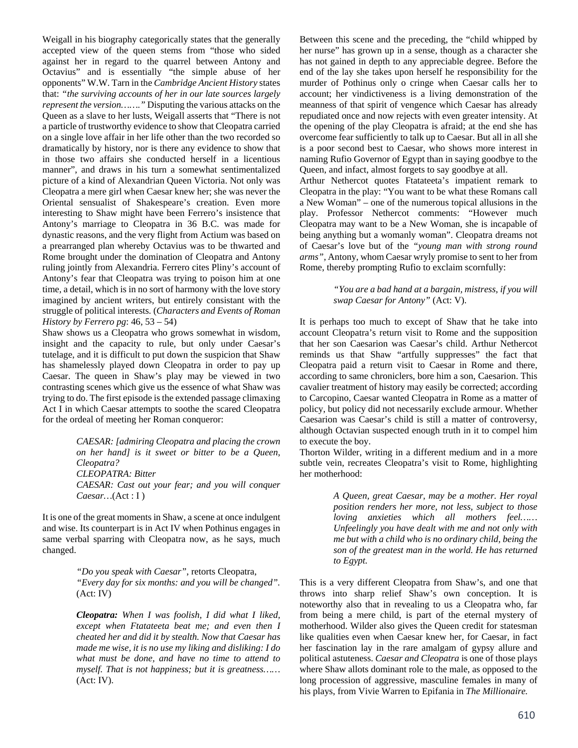Weigall in his biography categorically states that the generally accepted view of the queen stems from "those who sided against her in regard to the quarrel between Antony and Octavius" and is essentially "the simple abuse of her opponents" W.W. Tarn in the *Cambridge Ancient History* states that: *"the surviving accounts of her in our late sources largely represent the version……."* Disputing the various attacks on the Queen as a slave to her lusts, Weigall asserts that "There is not a particle of trustworthy evidence to show that Cleopatra carried on a single love affair in her life other than the two recorded so dramatically by history, nor is there any evidence to show that in those two affairs she conducted herself in a licentious manner", and draws in his turn a somewhat sentimentalized picture of a kind of Alexandrian Queen Victoria. Not only was Cleopatra a mere girl when Caesar knew her; she was never the Oriental sensualist of Shakespeare's creation. Even more interesting to Shaw might have been Ferrero's insistence that Antony's marriage to Cleopatra in 36 B.C. was made for dynastic reasons, and the very flight from Actium was based on a prearranged plan whereby Octavius was to be thwarted and Rome brought under the domination of Cleopatra and Antony ruling jointly from Alexandria. Ferrero cites Pliny's account of Antony's fear that Cleopatra was trying to poison him at one time, a detail, which is in no sort of harmony with the love story imagined by ancient writers, but entirely consistant with the struggle of political interests*.* (*Characters and Events of Roman History by Ferrero pg*: 46, 53 – 54)

Shaw shows us a Cleopatra who grows somewhat in wisdom, insight and the capacity to rule, but only under Caesar's tutelage, and it is difficult to put down the suspicion that Shaw has shamelessly played down Cleopatra in order to pay up Caesar. The queen in Shaw's play may be viewed in two contrasting scenes which give us the essence of what Shaw was trying to do. The first episode is the extended passage climaxing Act I in which Caesar attempts to soothe the scared Cleopatra for the ordeal of meeting her Roman conqueror:

> *CAESAR: [admiring Cleopatra and placing the crown on her hand] is it sweet or bitter to be a Queen, Cleopatra? CLEOPATRA: Bitter CAESAR: Cast out your fear; and you will conquer Caesar…*(Act : I )

It is one of the great moments in Shaw, a scene at once indulgent and wise. Its counterpart is in Act IV when Pothinus engages in same verbal sparring with Cleopatra now, as he says, much changed.

> *"Do you speak with Caesar"*, retorts Cleopatra, *"Every day for six months: and you will be changed".* (Act: IV)

> *Cleopatra: When I was foolish, I did what I liked, except when Ftatateeta beat me; and even then I cheated her and did it by stealth. Now that Caesar has made me wise, it is no use my liking and disliking: I do what must be done, and have no time to attend to myself. That is not happiness; but it is greatness……* (Act: IV).

Between this scene and the preceding, the "child whipped by her nurse" has grown up in a sense, though as a character she has not gained in depth to any appreciable degree. Before the end of the lay she takes upon herself he responsibility for the murder of Pothinus only o cringe when Caesar calls her to account; her vindictiveness is a living demonstration of the meanness of that spirit of vengence which Caesar has already repudiated once and now rejects with even greater intensity. At the opening of the play Cleopatra is afraid; at the end she has overcome fear sufficiently to talk up to Caesar. But all in all she is a poor second best to Caesar, who shows more interest in naming Rufio Governor of Egypt than in saying goodbye to the Queen, and infact, almost forgets to say goodbye at all.

Arthur Nethercot quotes Ftatateeta's impatient remark to Cleopatra in the play: "You want to be what these Romans call a New Woman" – one of the numerous topical allusions in the play. Professor Nethercot comments: "However much Cleopatra may want to be a New Woman, she is incapable of being anything but a womanly woman". Cleopatra dreams not of Caesar's love but of the *"young man with strong round arms",* Antony, whom Caesar wryly promise to sent to her from Rome, thereby prompting Rufio to exclaim scornfully:

> *"You are a bad hand at a bargain, mistress, if you will swap Caesar for Antony"* (Act: V).

It is perhaps too much to except of Shaw that he take into account Cleopatra's return visit to Rome and the supposition that her son Caesarion was Caesar's child. Arthur Nethercot reminds us that Shaw "artfully suppresses" the fact that Cleopatra paid a return visit to Caesar in Rome and there, according to same chroniclers, bore him a son, Caesarion. This cavalier treatment of history may easily be corrected; according to Carcopino, Caesar wanted Cleopatra in Rome as a matter of policy, but policy did not necessarily exclude armour. Whether Caesarion was Caesar's child is still a matter of controversy, although Octavian suspected enough truth in it to compel him to execute the boy.

Thorton Wilder, writing in a different medium and in a more subtle vein, recreates Cleopatra's visit to Rome, highlighting her motherhood:

> *A Queen, great Caesar, may be a mother. Her royal position renders her more, not less, subject to those loving anxieties which all mothers feel…… Unfeelingly you have dealt with me and not only with me but with a child who is no ordinary child, being the son of the greatest man in the world. He has returned to Egypt.*

This is a very different Cleopatra from Shaw's, and one that throws into sharp relief Shaw's own conception. It is noteworthy also that in revealing to us a Cleopatra who, far from being a mere child, is part of the eternal mystery of motherhood. Wilder also gives the Queen credit for statesman like qualities even when Caesar knew her, for Caesar, in fact her fascination lay in the rare amalgam of gypsy allure and political astuteness. *Caesar and Cleopatra* is one of those plays where Shaw allots dominant role to the male, as opposed to the long procession of aggressive, masculine females in many of his plays, from Vivie Warren to Epifania in *The Millionaire.*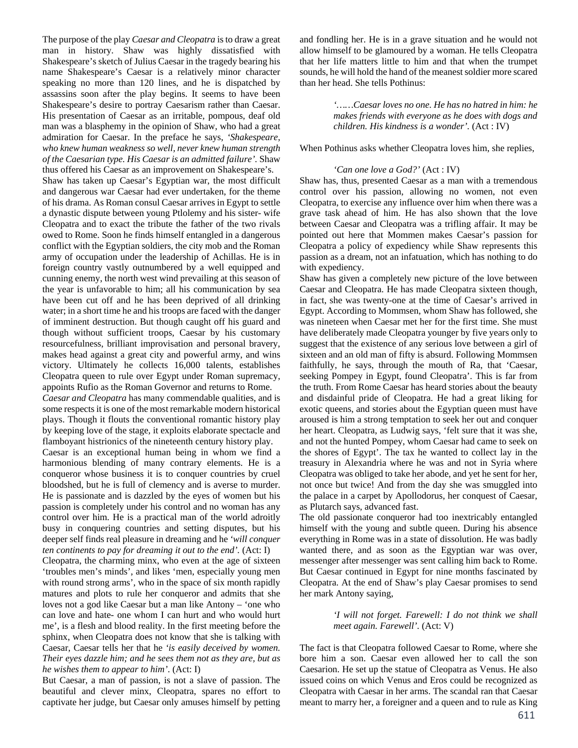The purpose of the play *Caesar and Cleopatra* is to draw a great man in history. Shaw was highly dissatisfied with Shakespeare's sketch of Julius Caesar in the tragedy bearing his name Shakespeare's Caesar is a relatively minor character speaking no more than 120 lines, and he is dispatched by assassins soon after the play begins. It seems to have been Shakespeare's desire to portray Caesarism rather than Caesar. His presentation of Caesar as an irritable, pompous, deaf old man was a blasphemy in the opinion of Shaw, who had a great admiration for Caesar. In the preface he says, *'Shakespeare, who knew human weakness so well, never knew human strength of the Caesarian type. His Caesar is an admitted failure'.* Shaw thus offered his Caesar as an improvement on Shakespeare's.

Shaw has taken up Caesar's Egyptian war, the most difficult and dangerous war Caesar had ever undertaken, for the theme of his drama. As Roman consul Caesar arrives in Egypt to settle a dynastic dispute between young Ptlolemy and his sister- wife Cleopatra and to exact the tribute the father of the two rivals owed to Rome. Soon he finds himself entangled in a dangerous conflict with the Egyptian soldiers, the city mob and the Roman army of occupation under the leadership of Achillas. He is in foreign country vastly outnumbered by a well equipped and cunning enemy, the north west wind prevailing at this season of the year is unfavorable to him; all his communication by sea have been cut off and he has been deprived of all drinking water; in a short time he and his troops are faced with the danger of imminent destruction. But though caught off his guard and though without sufficient troops, Caesar by his customary resourcefulness, brilliant improvisation and personal bravery, makes head against a great city and powerful army, and wins victory. Ultimately he collects 16,000 talents, establishes Cleopatra queen to rule over Egypt under Roman supremacy, appoints Rufio as the Roman Governor and returns to Rome.

*Caesar and Cleopatra* has many commendable qualities, and is some respects it is one of the most remarkable modern historical plays. Though it flouts the conventional romantic history play by keeping love of the stage, it exploits elaborate spectacle and flamboyant histrionics of the nineteenth century history play.

Caesar is an exceptional human being in whom we find a harmonious blending of many contrary elements. He is a conqueror whose business it is to conquer countries by cruel bloodshed, but he is full of clemency and is averse to murder. He is passionate and is dazzled by the eyes of women but his passion is completely under his control and no woman has any control over him. He is a practical man of the world adroitly busy in conquering countries and setting disputes, but his deeper self finds real pleasure in dreaming and he *'will conquer ten continents to pay for dreaming it out to the end'.* (Act: I)

Cleopatra, the charming minx, who even at the age of sixteen 'troubles men's minds', and likes 'men, especially young men with round strong arms', who in the space of six month rapidly matures and plots to rule her conqueror and admits that she loves not a god like Caesar but a man like Antony – 'one who can love and hate- one whom I can hurt and who would hurt me', is a flesh and blood reality. In the first meeting before the sphinx, when Cleopatra does not know that she is talking with Caesar, Caesar tells her that he *'is easily deceived by women. Their eyes dazzle him; and he sees them not as they are, but as he wishes them to appear to him'*. (Act: I)

But Caesar, a man of passion, is not a slave of passion. The beautiful and clever minx, Cleopatra, spares no effort to captivate her judge, but Caesar only amuses himself by petting and fondling her. He is in a grave situation and he would not allow himself to be glamoured by a woman. He tells Cleopatra that her life matters little to him and that when the trumpet sounds, he will hold the hand of the meanest soldier more scared than her head. She tells Pothinus:

> *'……Caesar loves no one. He has no hatred in him: he makes friends with everyone as he does with dogs and children. His kindness is a wonder'.* (Act : IV)

When Pothinus asks whether Cleopatra loves him, she replies,

### *'Can one love a God?'* (Act : IV)

Shaw has, thus, presented Caesar as a man with a tremendous control over his passion, allowing no women, not even Cleopatra, to exercise any influence over him when there was a grave task ahead of him. He has also shown that the love between Caesar and Cleopatra was a trifling affair. It may be pointed out here that Mommen makes Caesar's passion for Cleopatra a policy of expediency while Shaw represents this passion as a dream, not an infatuation, which has nothing to do with expediency.

Shaw has given a completely new picture of the love between Caesar and Cleopatra. He has made Cleopatra sixteen though, in fact, she was twenty-one at the time of Caesar's arrived in Egypt. According to Mommsen, whom Shaw has followed, she was nineteen when Caesar met her for the first time. She must have deliberately made Cleopatra younger by five years only to suggest that the existence of any serious love between a girl of sixteen and an old man of fifty is absurd. Following Mommsen faithfully, he says, through the mouth of Ra, that 'Caesar, seeking Pompey in Egypt, found Cleopatra'. This is far from the truth. From Rome Caesar has heard stories about the beauty and disdainful pride of Cleopatra. He had a great liking for exotic queens, and stories about the Egyptian queen must have aroused is him a strong temptation to seek her out and conquer her heart. Cleopatra, as Ludwig says, 'felt sure that it was she, and not the hunted Pompey, whom Caesar had came to seek on the shores of Egypt'. The tax he wanted to collect lay in the treasury in Alexandria where he was and not in Syria where Cleopatra was obliged to take her abode, and yet he sent for her, not once but twice! And from the day she was smuggled into the palace in a carpet by Apollodorus, her conquest of Caesar, as Plutarch says, advanced fast.

The old passionate conqueror had too inextricably entangled himself with the young and subtle queen. During his absence everything in Rome was in a state of dissolution. He was badly wanted there, and as soon as the Egyptian war was over, messenger after messenger was sent calling him back to Rome. But Caesar continued in Egypt for nine months fascinated by Cleopatra. At the end of Shaw's play Caesar promises to send her mark Antony saying,

> *'I will not forget. Farewell: I do not think we shall meet again. Farewell'.* (Act: V)

The fact is that Cleopatra followed Caesar to Rome, where she bore him a son. Caesar even allowed her to call the son Caesarion. He set up the statue of Cleopatra as Venus. He also issued coins on which Venus and Eros could be recognized as Cleopatra with Caesar in her arms. The scandal ran that Caesar meant to marry her, a foreigner and a queen and to rule as King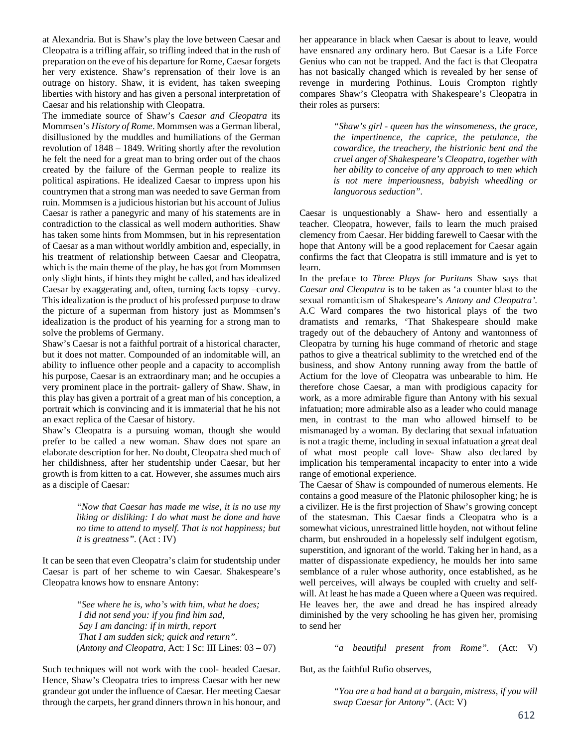at Alexandria. But is Shaw's play the love between Caesar and Cleopatra is a trifling affair, so trifling indeed that in the rush of preparation on the eve of his departure for Rome, Caesar forgets her very existence. Shaw's reprensation of their love is an outrage on history. Shaw, it is evident, has taken sweeping liberties with history and has given a personal interpretation of Caesar and his relationship with Cleopatra.

The immediate source of Shaw's *Caesar and Cleopatra* its Mommsen's *History of Rome*. Mommsen was a German liberal, disillusioned by the muddles and humiliations of the German revolution of 1848 – 1849. Writing shortly after the revolution he felt the need for a great man to bring order out of the chaos created by the failure of the German people to realize its political aspirations. He idealized Caesar to impress upon his countrymen that a strong man was needed to save German from ruin. Mommsen is a judicious historian but his account of Julius Caesar is rather a panegyric and many of his statements are in contradiction to the classical as well modern authorities. Shaw has taken some hints from Mommsen, but in his representation of Caesar as a man without worldly ambition and, especially, in his treatment of relationship between Caesar and Cleopatra, which is the main theme of the play, he has got from Mommsen only slight hints, if hints they might be called, and has idealized Caesar by exaggerating and, often, turning facts topsy –curvy. This idealization is the product of his professed purpose to draw the picture of a superman from history just as Mommsen's idealization is the product of his yearning for a strong man to solve the problems of Germany.

Shaw's Caesar is not a faithful portrait of a historical character, but it does not matter. Compounded of an indomitable will, an ability to influence other people and a capacity to accomplish his purpose, Caesar is an extraordinary man; and he occupies a very prominent place in the portrait- gallery of Shaw. Shaw, in this play has given a portrait of a great man of his conception, a portrait which is convincing and it is immaterial that he his not an exact replica of the Caesar of history.

Shaw's Cleopatra is a pursuing woman, though she would prefer to be called a new woman. Shaw does not spare an elaborate description for her. No doubt, Cleopatra shed much of her childishness, after her studentship under Caesar, but her growth is from kitten to a cat. However, she assumes much airs as a disciple of Caesar*:* 

> *"Now that Caesar has made me wise, it is no use my liking or disliking: I do what must be done and have no time to attend to myself. That is not happiness; but it is greatness".* (Act : IV)

It can be seen that even Cleopatra's claim for studentship under Caesar is part of her scheme to win Caesar. Shakespeare's Cleopatra knows how to ensnare Antony:

> *"See where he is, who's with him, what he does; I did not send you: if you find him sad, Say I am dancing: if in mirth, report That I am sudden sick; quick and return".* (*Antony and Cleopatra*, Act: I Sc: III Lines:  $03 - 07$ )

Such techniques will not work with the cool- headed Caesar. Hence, Shaw's Cleopatra tries to impress Caesar with her new grandeur got under the influence of Caesar. Her meeting Caesar through the carpets, her grand dinners thrown in his honour, and her appearance in black when Caesar is about to leave, would have ensnared any ordinary hero. But Caesar is a Life Force Genius who can not be trapped. And the fact is that Cleopatra has not basically changed which is revealed by her sense of revenge in murdering Pothinus. Louis Crompton rightly compares Shaw's Cleopatra with Shakespeare's Cleopatra in their roles as pursers:

> *"Shaw's girl - queen has the winsomeness, the grace, the impertinence, the caprice, the petulance, the cowardice, the treachery, the histrionic bent and the cruel anger of Shakespeare's Cleopatra, together with her ability to conceive of any approach to men which is not mere imperiousness, babyish wheedling or languorous seduction".*

Caesar is unquestionably a Shaw- hero and essentially a teacher. Cleopatra, however, fails to learn the much praised clemency from Caesar. Her bidding farewell to Caesar with the hope that Antony will be a good replacement for Caesar again confirms the fact that Cleopatra is still immature and is yet to learn.

In the preface to *Three Plays for Puritans* Shaw says that *Caesar and Cleopatra* is to be taken as 'a counter blast to the sexual romanticism of Shakespeare's *Antony and Cleopatra'.*  A.C Ward compares the two historical plays of the two dramatists and remarks, 'That Shakespeare should make tragedy out of the debauchery of Antony and wantonness of Cleopatra by turning his huge command of rhetoric and stage pathos to give a theatrical sublimity to the wretched end of the business, and show Antony running away from the battle of Actium for the love of Cleopatra was unbearable to him. He therefore chose Caesar, a man with prodigious capacity for work, as a more admirable figure than Antony with his sexual infatuation; more admirable also as a leader who could manage men, in contrast to the man who allowed himself to be mismanaged by a woman. By declaring that sexual infatuation is not a tragic theme, including in sexual infatuation a great deal of what most people call love- Shaw also declared by implication his temperamental incapacity to enter into a wide range of emotional experience.

The Caesar of Shaw is compounded of numerous elements. He contains a good measure of the Platonic philosopher king; he is a civilizer. He is the first projection of Shaw's growing concept of the statesman. This Caesar finds a Cleopatra who is a somewhat vicious, unrestrained little hoyden, not without feline charm, but enshrouded in a hopelessly self indulgent egotism, superstition, and ignorant of the world. Taking her in hand, as a matter of dispassionate expediency, he moulds her into same semblance of a ruler whose authority, once established, as he well perceives, will always be coupled with cruelty and selfwill. At least he has made a Queen where a Queen was required. He leaves her, the awe and dread he has inspired already diminished by the very schooling he has given her, promising to send her

*"a beautiful present from Rome".* (Act: V)

But, as the faithful Rufio observes,

*"You are a bad hand at a bargain, mistress, if you will swap Caesar for Antony".* (Act: V)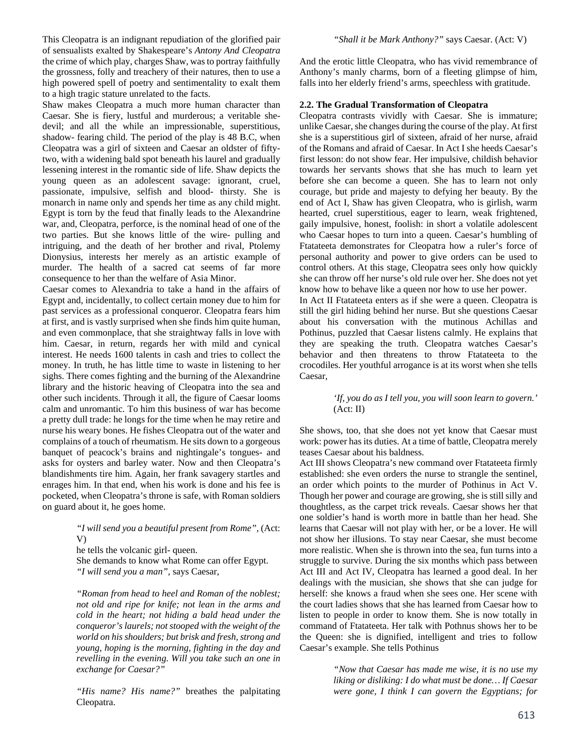This Cleopatra is an indignant repudiation of the glorified pair of sensualists exalted by Shakespeare's *Antony And Cleopatra*  the crime of which play, charges Shaw, was to portray faithfully the grossness, folly and treachery of their natures, then to use a high powered spell of poetry and sentimentality to exalt them to a high tragic stature unrelated to the facts.

Shaw makes Cleopatra a much more human character than Caesar. She is fiery, lustful and murderous; a veritable shedevil; and all the while an impressionable, superstitious, shadow- fearing child. The period of the play is 48 B.C, when Cleopatra was a girl of sixteen and Caesar an oldster of fiftytwo, with a widening bald spot beneath his laurel and gradually lessening interest in the romantic side of life. Shaw depicts the young queen as an adolescent savage: ignorant, cruel, passionate, impulsive, selfish and blood- thirsty. She is monarch in name only and spends her time as any child might. Egypt is torn by the feud that finally leads to the Alexandrine war, and, Cleopatra, perforce, is the nominal head of one of the two parties. But she knows little of the wire- pulling and intriguing, and the death of her brother and rival, Ptolemy Dionysius, interests her merely as an artistic example of murder. The health of a sacred cat seems of far more consequence to her than the welfare of Asia Minor.

Caesar comes to Alexandria to take a hand in the affairs of Egypt and, incidentally, to collect certain money due to him for past services as a professional conqueror. Cleopatra fears him at first, and is vastly surprised when she finds him quite human, and even commonplace, that she straightway falls in love with him. Caesar, in return, regards her with mild and cynical interest. He needs 1600 talents in cash and tries to collect the money. In truth, he has little time to waste in listening to her sighs. There comes fighting and the burning of the Alexandrine library and the historic heaving of Cleopatra into the sea and other such incidents. Through it all, the figure of Caesar looms calm and unromantic. To him this business of war has become a pretty dull trade: he longs for the time when he may retire and nurse his weary bones. He fishes Cleopatra out of the water and complains of a touch of rheumatism. He sits down to a gorgeous banquet of peacock's brains and nightingale's tongues- and asks for oysters and barley water. Now and then Cleopatra's blandishments tire him. Again, her frank savagery startles and enrages him. In that end, when his work is done and his fee is pocketed, when Cleopatra's throne is safe, with Roman soldiers on guard about it, he goes home.

> *"I will send you a beautiful present from Rome",* (Act: V) he tells the volcanic girl- queen.

She demands to know what Rome can offer Egypt. *"I will send you a man",* says Caesar,

*"Roman from head to heel and Roman of the noblest; not old and ripe for knife; not lean in the arms and cold in the heart; not hiding a bald head under the conqueror's laurels; not stooped with the weight of the world on his shoulders; but brisk and fresh, strong and young, hoping is the morning, fighting in the day and revelling in the evening. Will you take such an one in exchange for Caesar?"* 

*"His name? His name?"* breathes the palpitating Cleopatra.

And the erotic little Cleopatra, who has vivid remembrance of Anthony's manly charms, born of a fleeting glimpse of him, falls into her elderly friend's arms, speechless with gratitude.

## **2.2. The Gradual Transformation of Cleopatra**

Cleopatra contrasts vividly with Caesar. She is immature; unlike Caesar, she changes during the course of the play. At first she is a superstitious girl of sixteen, afraid of her nurse, afraid of the Romans and afraid of Caesar. In Act I she heeds Caesar's first lesson: do not show fear. Her impulsive, childish behavior towards her servants shows that she has much to learn yet before she can become a queen. She has to learn not only courage, but pride and majesty to defying her beauty. By the end of Act I, Shaw has given Cleopatra, who is girlish, warm hearted, cruel superstitious, eager to learn, weak frightened, gaily impulsive, honest, foolish: in short a volatile adolescent who Caesar hopes to turn into a queen. Caesar's humbling of Ftatateeta demonstrates for Cleopatra how a ruler's force of personal authority and power to give orders can be used to control others. At this stage, Cleopatra sees only how quickly she can throw off her nurse's old rule over her. She does not yet know how to behave like a queen nor how to use her power.

In Act II Ftatateeta enters as if she were a queen. Cleopatra is still the girl hiding behind her nurse. But she questions Caesar about his conversation with the mutinous Achillas and Pothinus, puzzled that Caesar listens calmly. He explains that they are speaking the truth. Cleopatra watches Caesar's behavior and then threatens to throw Ftatateeta to the crocodiles. Her youthful arrogance is at its worst when she tells Caesar,

## *'If, you do as I tell you, you will soon learn to govern.'*  $(Act: II)$

She shows, too, that she does not yet know that Caesar must work: power has its duties. At a time of battle, Cleopatra merely teases Caesar about his baldness.

Act III shows Cleopatra's new command over Ftatateeta firmly established: she even orders the nurse to strangle the sentinel, an order which points to the murder of Pothinus in Act V. Though her power and courage are growing, she is still silly and thoughtless, as the carpet trick reveals. Caesar shows her that one soldier's hand is worth more in battle than her head. She learns that Caesar will not play with her, or be a lover. He will not show her illusions. To stay near Caesar, she must become more realistic. When she is thrown into the sea, fun turns into a struggle to survive. During the six months which pass between Act III and Act IV, Cleopatra has learned a good deal. In her dealings with the musician, she shows that she can judge for herself: she knows a fraud when she sees one. Her scene with the court ladies shows that she has learned from Caesar how to listen to people in order to know them. She is now totally in command of Ftatateeta. Her talk with Pothnus shows her to be the Queen: she is dignified, intelligent and tries to follow Caesar's example. She tells Pothinus

> *"Now that Caesar has made me wise, it is no use my liking or disliking: I do what must be done… If Caesar were gone, I think I can govern the Egyptians; for*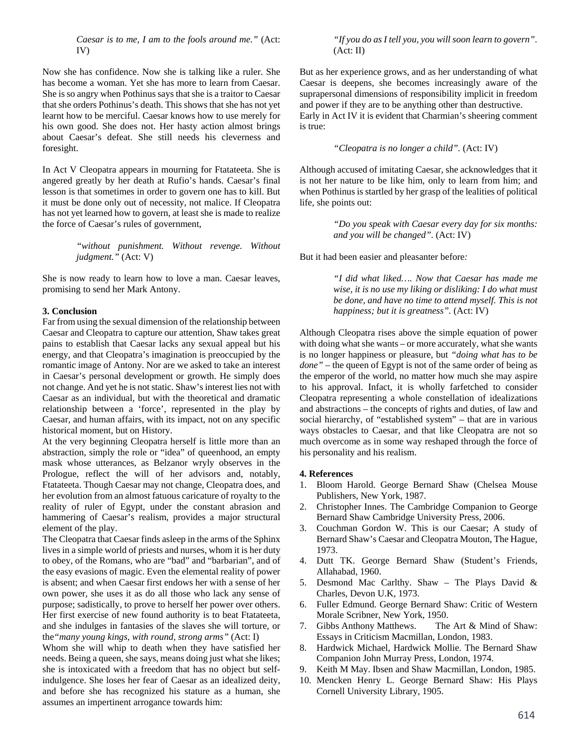*Caesar is to me, I am to the fools around me."* (Act: IV)

Now she has confidence. Now she is talking like a ruler. She has become a woman. Yet she has more to learn from Caesar. She is so angry when Pothinus says that she is a traitor to Caesar that she orders Pothinus's death. This shows that she has not yet learnt how to be merciful. Caesar knows how to use merely for his own good. She does not. Her hasty action almost brings about Caesar's defeat. She still needs his cleverness and foresight.

In Act V Cleopatra appears in mourning for Ftatateeta. She is angered greatly by her death at Rufio's hands. Caesar's final lesson is that sometimes in order to govern one has to kill. But it must be done only out of necessity, not malice. If Cleopatra has not yet learned how to govern, at least she is made to realize the force of Caesar's rules of government,

> *"without punishment. Without revenge. Without judgment."* (Act: V)

She is now ready to learn how to love a man. Caesar leaves, promising to send her Mark Antony.

#### **3. Conclusion**

Far from using the sexual dimension of the relationship between Caesar and Cleopatra to capture our attention, Shaw takes great pains to establish that Caesar lacks any sexual appeal but his energy, and that Cleopatra's imagination is preoccupied by the romantic image of Antony. Nor are we asked to take an interest in Caesar's personal development or growth. He simply does not change. And yet he is not static. Shaw's interest lies not with Caesar as an individual, but with the theoretical and dramatic relationship between a 'force', represented in the play by Caesar, and human affairs, with its impact, not on any specific historical moment, but on History.

At the very beginning Cleopatra herself is little more than an abstraction, simply the role or "idea" of queenhood, an empty mask whose utterances, as Belzanor wryly observes in the Prologue, reflect the will of her advisors and, notably, Ftatateeta. Though Caesar may not change, Cleopatra does, and her evolution from an almost fatuous caricature of royalty to the reality of ruler of Egypt, under the constant abrasion and hammering of Caesar's realism, provides a major structural element of the play.

The Cleopatra that Caesar finds asleep in the arms of the Sphinx lives in a simple world of priests and nurses, whom it is her duty to obey, of the Romans, who are "bad" and "barbarian", and of the easy evasions of magic. Even the elemental reality of power is absent; and when Caesar first endows her with a sense of her own power, she uses it as do all those who lack any sense of purpose; sadistically, to prove to herself her power over others. Her first exercise of new found authority is to beat Ftatateeta, and she indulges in fantasies of the slaves she will torture, or the*"many young kings, with round, strong arms"* (Act: I)

Whom she will whip to death when they have satisfied her needs. Being a queen, she says, means doing just what she likes; she is intoxicated with a freedom that has no object but selfindulgence. She loses her fear of Caesar as an idealized deity, and before she has recognized his stature as a human, she assumes an impertinent arrogance towards him:

*"If you do as I tell you, you will soon learn to govern".*  $(Act: II)$ 

But as her experience grows, and as her understanding of what Caesar is deepens, she becomes increasingly aware of the suprapersonal dimensions of responsibility implicit in freedom and power if they are to be anything other than destructive. Early in Act IV it is evident that Charmian's sheering comment is true:

*"Cleopatra is no longer a child".* (Act: IV)

Although accused of imitating Caesar, she acknowledges that it is not her nature to be like him, only to learn from him; and when Pothinus is startled by her grasp of the lealities of political life, she points out:

> *"Do you speak with Caesar every day for six months: and you will be changed"*. (Act: IV)

But it had been easier and pleasanter before*:* 

*"I did what liked…. Now that Caesar has made me wise, it is no use my liking or disliking: I do what must be done, and have no time to attend myself. This is not happiness; but it is greatness".* (Act: IV)

Although Cleopatra rises above the simple equation of power with doing what she wants – or more accurately, what she wants is no longer happiness or pleasure, but *"doing what has to be done"* – the queen of Egypt is not of the same order of being as the emperor of the world, no matter how much she may aspire to his approval. Infact, it is wholly farfetched to consider Cleopatra representing a whole constellation of idealizations and abstractions – the concepts of rights and duties, of law and social hierarchy, of "established system" – that are in various ways obstacles to Caesar, and that like Cleopatra are not so much overcome as in some way reshaped through the force of his personality and his realism.

## **4. References**

- 1. Bloom Harold. George Bernard Shaw (Chelsea Mouse Publishers, New York, 1987.
- 2. Christopher Innes. The Cambridge Companion to George Bernard Shaw Cambridge University Press, 2006.
- 3. Couchman Gordon W. This is our Caesar; A study of Bernard Shaw's Caesar and Cleopatra Mouton, The Hague, 1973.
- 4. Dutt TK. George Bernard Shaw (Student's Friends, Allahabad, 1960.
- 5. Desmond Mac Carlthy. Shaw The Plays David & Charles, Devon U.K, 1973.
- 6. Fuller Edmund. George Bernard Shaw: Critic of Western Morale Scribner, New York, 1950.
- 7. Gibbs Anthony Matthews. The Art & Mind of Shaw: Essays in Criticism Macmillan, London, 1983.
- 8. Hardwick Michael, Hardwick Mollie. The Bernard Shaw Companion John Murray Press, London, 1974.
- 9. Keith M May. Ibsen and Shaw Macmillan, London, 1985.
- 10. Mencken Henry L. George Bernard Shaw: His Plays Cornell University Library, 1905.